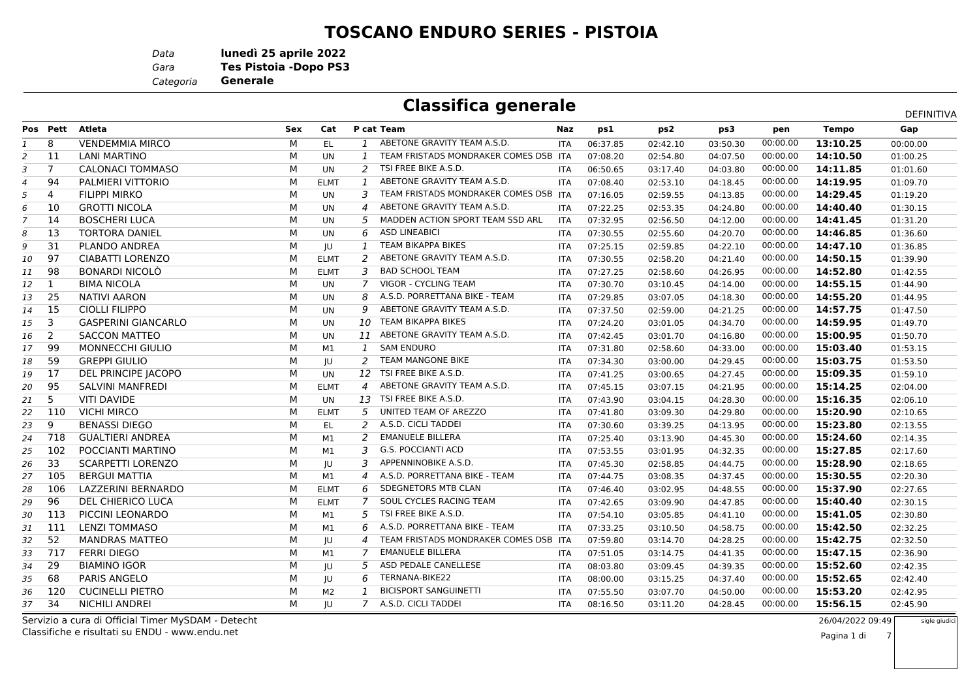#### **TOSCANO ENDURO SERIES - PISTOIA**

*Data***lunedì 25 aprile 2022**

*Gara* **Tes Pistoia -Dopo PS3**

*Categoria***Generale**

## **Classifica generale**

|    |                |                            |     |                |                |                                       |            |          |          |          |          |              | DEFINITIVA |
|----|----------------|----------------------------|-----|----------------|----------------|---------------------------------------|------------|----------|----------|----------|----------|--------------|------------|
|    | Pos Pett       | <b>Atleta</b>              | Sex | Cat            |                | P cat Team                            | Naz        | ps1      | ps2      | ps3      | pen      | <b>Tempo</b> | Gap        |
| 1  | 8              | <b>VENDEMMIA MIRCO</b>     | M   | EL.            | 1              | ABETONE GRAVITY TEAM A.S.D.           | <b>ITA</b> | 06:37.85 | 02:42.10 | 03:50.30 | 00:00.00 | 13:10.25     | 00:00.00   |
| 2  | 11             | <b>LANI MARTINO</b>        | M   | <b>UN</b>      | $\mathbf{1}$   | TEAM FRISTADS MONDRAKER COMES DSB ITA |            | 07:08.20 | 02:54.80 | 04:07.50 | 00:00.00 | 14:10.50     | 01:00.25   |
| 3  | $\overline{7}$ | <b>CALONACI TOMMASO</b>    | M   | <b>UN</b>      | $\overline{2}$ | TSI FREE BIKE A.S.D.                  | <b>ITA</b> | 06:50.65 | 03:17.40 | 04:03.80 | 00:00.00 | 14:11.85     | 01:01.60   |
| 4  | 94             | PALMIERI VITTORIO          | М   | <b>ELMT</b>    | $\mathbf{1}$   | ABETONE GRAVITY TEAM A.S.D.           | <b>ITA</b> | 07:08.40 | 02:53.10 | 04:18.45 | 00:00.00 | 14:19.95     | 01:09.70   |
| 5  | $\overline{4}$ | <b>FILIPPI MIRKO</b>       | м   | UN             | 3              | TEAM FRISTADS MONDRAKER COMES DSB ITA |            | 07:16.05 | 02:59.55 | 04:13.85 | 00:00.00 | 14:29.45     | 01:19.20   |
| 6  | 10             | <b>GROTTI NICOLA</b>       | M   | UN             | 4              | ABETONE GRAVITY TEAM A.S.D.           | <b>ITA</b> | 07:22.25 | 02:53.35 | 04:24.80 | 00:00.00 | 14:40.40     | 01:30.15   |
| 7  | 14             | <b>BOSCHERI LUCA</b>       | М   | UN             | 5              | MADDEN ACTION SPORT TEAM SSD ARL      | <b>ITA</b> | 07:32.95 | 02:56.50 | 04:12.00 | 00:00.00 | 14:41.45     | 01:31.20   |
| 8  | 13             | <b>TORTORA DANIEL</b>      | M   | UN             | 6              | <b>ASD LINEABICI</b>                  | <b>ITA</b> | 07:30.55 | 02:55.60 | 04:20.70 | 00:00.00 | 14:46.85     | 01:36.60   |
| 9  | 31             | <b>PLANDO ANDREA</b>       | М   | JU             | $\mathbf{1}$   | TEAM BIKAPPA BIKES                    | <b>ITA</b> | 07:25.15 | 02:59.85 | 04:22.10 | 00:00.00 | 14:47.10     | 01:36.85   |
| 10 | 97             | CIABATTI LORENZO           | М   | <b>ELMT</b>    | 2              | ABETONE GRAVITY TEAM A.S.D.           | <b>ITA</b> | 07:30.55 | 02:58.20 | 04:21.40 | 00:00.00 | 14:50.15     | 01:39.90   |
| 11 | 98             | <b>BONARDI NICOLÒ</b>      | M   | <b>ELMT</b>    | 3              | <b>BAD SCHOOL TEAM</b>                | <b>ITA</b> | 07:27.25 | 02:58.60 | 04:26.95 | 00:00.00 | 14:52.80     | 01:42.55   |
| 12 | 1              | <b>BIMA NICOLA</b>         | M   | UN             | $\overline{7}$ | VIGOR - CYCLING TEAM                  | <b>ITA</b> | 07:30.70 | 03:10.45 | 04:14.00 | 00:00.00 | 14:55.15     | 01:44.90   |
| 13 | 25             | <b>NATIVI AARON</b>        | M   | UN             | 8              | A.S.D. PORRETTANA BIKE - TEAM         | <b>ITA</b> | 07:29.85 | 03:07.05 | 04:18.30 | 00:00.00 | 14:55.20     | 01:44.95   |
| 14 | 15             | <b>CIOLLI FILIPPO</b>      | M   | <b>UN</b>      | 9              | ABETONE GRAVITY TEAM A.S.D.           | <b>ITA</b> | 07:37.50 | 02:59.00 | 04:21.25 | 00:00.00 | 14:57.75     | 01:47.50   |
| 15 | 3              | <b>GASPERINI GIANCARLO</b> | М   | UN             | 10             | TEAM BIKAPPA BIKES                    | <b>ITA</b> | 07:24.20 | 03:01.05 | 04:34.70 | 00:00.00 | 14:59.95     | 01:49.70   |
| 16 | 2              | <b>SACCON MATTEO</b>       | М   | <b>UN</b>      | 11             | ABETONE GRAVITY TEAM A.S.D.           | <b>ITA</b> | 07:42.45 | 03:01.70 | 04:16.80 | 00:00.00 | 15:00.95     | 01:50.70   |
| 17 | 99             | <b>MONNECCHI GIULIO</b>    | M   | M1             | $\mathbf{1}$   | <b>SAM ENDURO</b>                     | <b>ITA</b> | 07:31.80 | 02:58.60 | 04:33.00 | 00:00.00 | 15:03.40     | 01:53.15   |
| 18 | 59             | <b>GREPPI GIULIO</b>       | M   | IU             | 2              | <b>TEAM MANGONE BIKE</b>              | <b>ITA</b> | 07:34.30 | 03:00.00 | 04:29.45 | 00:00.00 | 15:03.75     | 01:53.50   |
| 19 | 17             | DEL PRINCIPE JACOPO        | М   | UN             | 12             | TSI FREE BIKE A.S.D.                  | <b>ITA</b> | 07:41.25 | 03:00.65 | 04:27.45 | 00:00.00 | 15:09.35     | 01:59.10   |
| 20 | 95             | <b>SALVINI MANFREDI</b>    | м   | <b>ELMT</b>    | $\overline{a}$ | ABETONE GRAVITY TEAM A.S.D.           | <b>ITA</b> | 07:45.15 | 03:07.15 | 04:21.95 | 00:00.00 | 15:14.25     | 02:04.00   |
| 21 | 5              | <b>VITI DAVIDE</b>         | м   | UN             | 13             | TSI FREE BIKE A.S.D.                  | <b>ITA</b> | 07:43.90 | 03:04.15 | 04:28.30 | 00:00.00 | 15:16.35     | 02:06.10   |
| 22 | 110            | <b>VICHI MIRCO</b>         | М   | <b>ELMT</b>    | 5              | UNITED TEAM OF AREZZO                 | <b>ITA</b> | 07:41.80 | 03:09.30 | 04:29.80 | 00:00.00 | 15:20.90     | 02:10.65   |
| 23 | 9              | <b>BENASSI DIEGO</b>       | М   | EL.            | 2              | A.S.D. CICLI TADDEI                   | <b>ITA</b> | 07:30.60 | 03:39.25 | 04:13.95 | 00:00.00 | 15:23.80     | 02:13.55   |
| 24 | 718            | <b>GUALTIERI ANDREA</b>    | М   | M1             | 2              | <b>EMANUELE BILLERA</b>               | <b>ITA</b> | 07:25.40 | 03:13.90 | 04:45.30 | 00:00.00 | 15:24.60     | 02:14.35   |
| 25 | 102            | POCCIANTI MARTINO          | М   | M1             | 3              | <b>G.S. POCCIANTI ACD</b>             | <b>ITA</b> | 07:53.55 | 03:01.95 | 04:32.35 | 00:00.00 | 15:27.85     | 02:17.60   |
| 26 | 33             | <b>SCARPETTI LORENZO</b>   | M   | JU             | 3              | APPENNINOBIKE A.S.D.                  | <b>ITA</b> | 07:45.30 | 02:58.85 | 04:44.75 | 00:00.00 | 15:28.90     | 02:18.65   |
| 27 | 105            | <b>BERGUI MATTIA</b>       | M   | M1             | 4              | A.S.D. PORRETTANA BIKE - TEAM         | <b>ITA</b> | 07:44.75 | 03:08.35 | 04:37.45 | 00:00.00 | 15:30.55     | 02:20.30   |
| 28 | 106            | LAZZERINI BERNARDO         | M   | <b>ELMT</b>    | 6              | SDEGNETORS MTB CLAN                   | <b>ITA</b> | 07:46.40 | 03:02.95 | 04:48.55 | 00:00.00 | 15:37.90     | 02:27.65   |
| 29 | 96             | DEL CHIERICO LUCA          | M   | <b>ELMT</b>    | 7              | SOUL CYCLES RACING TEAM               | <b>ITA</b> | 07:42.65 | 03:09.90 | 04:47.85 | 00:00.00 | 15:40.40     | 02:30.15   |
| 30 | 113            | PICCINI LEONARDO           | М   | M1             | 5              | TSI FREE BIKE A.S.D.                  | <b>ITA</b> | 07:54.10 | 03:05.85 | 04:41.10 | 00:00.00 | 15:41.05     | 02:30.80   |
| 31 | 111            | <b>LENZI TOMMASO</b>       | M   | M1             | 6              | A.S.D. PORRETTANA BIKE - TEAM         | <b>ITA</b> | 07:33.25 | 03:10.50 | 04:58.75 | 00:00.00 | 15:42.50     | 02:32.25   |
| 32 | 52             | <b>MANDRAS MATTEO</b>      | M   | IU             | 4              | TEAM FRISTADS MONDRAKER COMES DSB ITA |            | 07:59.80 | 03:14.70 | 04:28.25 | 00:00.00 | 15:42.75     | 02:32.50   |
| 33 | 717            | <b>FERRI DIEGO</b>         | M   | M1             | 7              | <b>EMANUELE BILLERA</b>               | <b>ITA</b> | 07:51.05 | 03:14.75 | 04:41.35 | 00:00.00 | 15:47.15     | 02:36.90   |
| 34 | 29             | <b>BIAMINO IGOR</b>        | М   | JU             | 5              | ASD PEDALE CANELLESE                  | <b>ITA</b> | 08:03.80 | 03:09.45 | 04:39.35 | 00:00.00 | 15:52.60     | 02:42.35   |
| 35 | 68             | <b>PARIS ANGELO</b>        | м   | IU             | 6              | TERNANA-BIKE22                        | <b>ITA</b> | 08:00.00 | 03:15.25 | 04:37.40 | 00:00.00 | 15:52.65     | 02:42.40   |
| 36 | 120            | <b>CUCINELLI PIETRO</b>    | м   | M <sub>2</sub> | $\mathbf{1}$   | <b>BICISPORT SANGUINETTI</b>          | <b>ITA</b> | 07:55.50 | 03:07.70 | 04:50.00 | 00:00.00 | 15:53.20     | 02:42.95   |
| 37 | 34             | <b>NICHILI ANDREI</b>      | м   | IU             | 7              | A.S.D. CICLI TADDEI                   | <b>ITA</b> | 08:16.50 | 03:11.20 | 04:28.45 | 00:00.00 | 15:56.15     | 02:45.90   |
|    |                |                            |     |                |                |                                       |            |          |          |          |          |              |            |

Classifiche e risultati su ENDU - www.endu.netServizio a cura di Official Timer MySDAM - Detecht

26/04/2022 09:49

7

Pagina 1 di

sigle giudic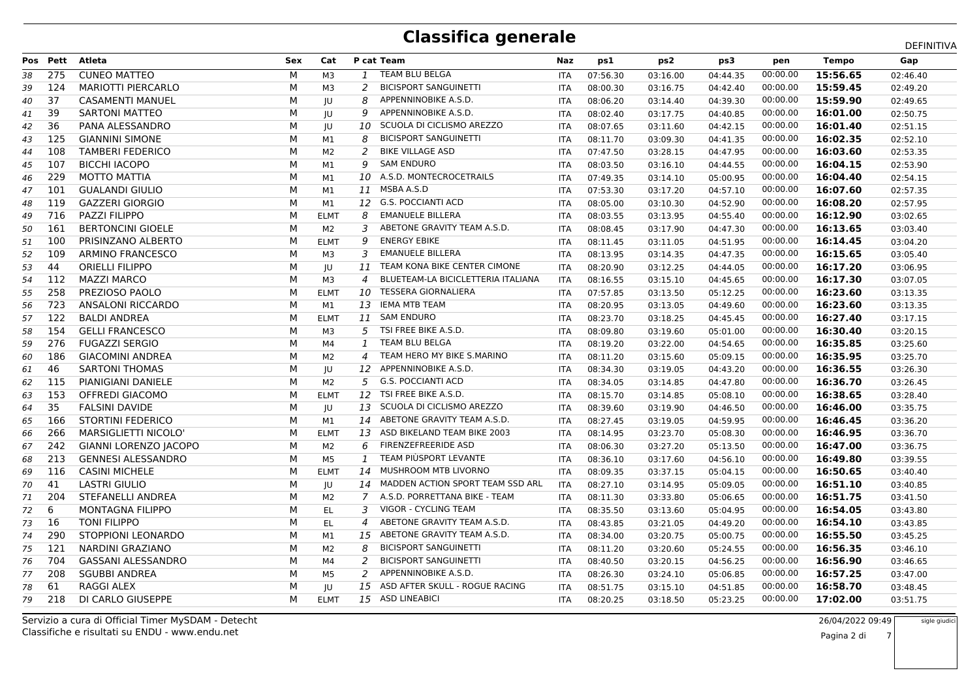|    |          |                           |            |                |                          |                                    |            |          |          |          |          |              | DEFINITIVA |
|----|----------|---------------------------|------------|----------------|--------------------------|------------------------------------|------------|----------|----------|----------|----------|--------------|------------|
|    | Pos Pett | <b>Atleta</b>             | <b>Sex</b> | Cat            |                          | P cat Team                         | Naz        | ps1      | ps2      | ps3      | pen      | <b>Tempo</b> | Gap        |
| 38 | 275      | <b>CUNEO MATTEO</b>       | М          | M3             | 1                        | <b>TEAM BLU BELGA</b>              | <b>ITA</b> | 07:56.30 | 03:16.00 | 04:44.35 | 00:00.00 | 15:56.65     | 02:46.40   |
| 39 | 124      | <b>MARIOTTI PIERCARLO</b> | М          | M3             | 2                        | <b>BICISPORT SANGUINETTI</b>       | <b>ITA</b> | 08:00.30 | 03:16.75 | 04:42.40 | 00:00.00 | 15:59.45     | 02:49.20   |
| 40 | 37       | <b>CASAMENTI MANUEL</b>   | M          | JU             | 8                        | APPENNINOBIKE A.S.D.               | <b>ITA</b> | 08:06.20 | 03:14.40 | 04:39.30 | 00:00.00 | 15:59.90     | 02:49.65   |
| 41 | 39       | <b>SARTONI MATTEO</b>     | М          | IU             | q                        | APPENNINOBIKE A.S.D.               | <b>ITA</b> | 08:02.40 | 03:17.75 | 04:40.85 | 00:00.00 | 16:01.00     | 02:50.75   |
| 42 | 36       | PANA ALESSANDRO           | M          | JU             | 10                       | SCUOLA DI CICLISMO AREZZO          | ITA        | 08:07.65 | 03:11.60 | 04:42.15 | 00:00.00 | 16:01.40     | 02:51.15   |
| 43 | 125      | <b>GIANNINI SIMONE</b>    | M          | M1             | 8                        | <b>BICISPORT SANGUINETTI</b>       | ITA        | 08:11.70 | 03:09.30 | 04:41.35 | 00:00.00 | 16:02.35     | 02:52.10   |
| 44 | 108      | <b>TAMBERI FEDERICO</b>   | м          | M <sub>2</sub> | $\mathcal{P}$            | <b>BIKE VILLAGE ASD</b>            | <b>ITA</b> | 07:47.50 | 03:28.15 | 04:47.95 | 00:00.00 | 16:03.60     | 02:53.35   |
| 45 | 107      | <b>BICCHI IACOPO</b>      | M          | M1             | 9                        | <b>SAM ENDURO</b>                  | <b>ITA</b> | 08:03.50 | 03:16.10 | 04:44.55 | 00:00.00 | 16:04.15     | 02:53.90   |
| 46 | 229      | MOTTO MATTIA              | M          | M1             | 10                       | A.S.D. MONTECROCETRAILS            | <b>ITA</b> | 07:49.35 | 03:14.10 | 05:00.95 | 00:00.00 | 16:04.40     | 02:54.15   |
| 47 | 101      | <b>GUALANDI GIULIO</b>    | м          | M1             | <b>11</b>                | MSBA A.S.D                         | <b>ITA</b> | 07:53.30 | 03:17.20 | 04:57.10 | 00:00.00 | 16:07.60     | 02:57.35   |
| 48 | 119      | <b>GAZZERI GIORGIO</b>    | м          | M1             |                          | 12 G.S. POCCIANTI ACD              | <b>ITA</b> | 08:05.00 | 03:10.30 | 04:52.90 | 00:00.00 | 16:08.20     | 02:57.95   |
| 49 | 716      | PAZZI FILIPPO             | М          | <b>ELMT</b>    | 8                        | <b>EMANUELE BILLERA</b>            | <b>ITA</b> | 08:03.55 | 03:13.95 | 04:55.40 | 00:00.00 | 16:12.90     | 03:02.65   |
| 50 | 161      | <b>BERTONCINI GIOELE</b>  | M          | M2             | 3                        | ABETONE GRAVITY TEAM A.S.D.        | <b>ITA</b> | 08:08.45 | 03:17.90 | 04:47.30 | 00:00.00 | 16:13.65     | 03:03.40   |
| 51 | 100      | PRISINZANO ALBERTO        | M          | <b>ELMT</b>    | 9                        | <b>ENERGY EBIKE</b>                | <b>ITA</b> | 08:11.45 | 03:11.05 | 04:51.95 | 00:00.00 | 16:14.45     | 03:04.20   |
| 52 | 109      | ARMINO FRANCESCO          | м          | M <sub>3</sub> | 3                        | <b>EMANUELE BILLERA</b>            | <b>ITA</b> | 08:13.95 | 03:14.35 | 04:47.35 | 00:00.00 | 16:15.65     | 03:05.40   |
| 53 | 44       | <b>ORIELLI FILIPPO</b>    | М          | IU             | <b>11</b>                | TEAM KONA BIKE CENTER CIMONE       | <b>ITA</b> | 08:20.90 | 03:12.25 | 04:44.05 | 00:00.00 | 16:17.20     | 03:06.95   |
| 54 | 112      | <b>MAZZI MARCO</b>        | M          | M3             | $\overline{\mathcal{A}}$ | BLUETEAM-LA BICICLETTERIA ITALIANA | <b>ITA</b> | 08:16.55 | 03:15.10 | 04:45.65 | 00:00.00 | 16:17.30     | 03:07.05   |
| 55 | 258      | PREZIOSO PAOLO            | М          | <b>ELMT</b>    | 10                       | <b>TESSERA GIORNALIERA</b>         | <b>ITA</b> | 07:57.85 | 03:13.50 | 05:12.25 | 00:00.00 | 16:23.60     | 03:13.35   |
| 56 | 723      | <b>ANSALONI RICCARDO</b>  | м          | M1             | 13                       | <b>IEMA MTB TEAM</b>               | <b>ITA</b> | 08:20.95 | 03:13.05 | 04:49.60 | 00:00.00 | 16:23.60     | 03:13.35   |
| 57 | 122      | <b>BALDI ANDREA</b>       | M          | <b>ELMT</b>    | 11                       | <b>SAM ENDURO</b>                  | <b>ITA</b> | 08:23.70 | 03:18.25 | 04:45.45 | 00:00.00 | 16:27.40     | 03:17.15   |
| 58 | 154      | <b>GELLI FRANCESCO</b>    | М          | M3             | 5                        | TSI FREE BIKE A.S.D.               | <b>ITA</b> | 08:09.80 | 03:19.60 | 05:01.00 | 00:00.00 | 16:30.40     | 03:20.15   |
| 59 | 276      | <b>FUGAZZI SERGIO</b>     | M          | M4             | 1                        | <b>TEAM BLU BELGA</b>              | <b>ITA</b> | 08:19.20 | 03:22.00 | 04:54.65 | 00:00.00 | 16:35.85     | 03:25.60   |
| 60 | 186      | <b>GIACOMINI ANDREA</b>   | М          | M <sub>2</sub> | 4                        | TEAM HERO MY BIKE S.MARINO         | <b>ITA</b> | 08:11.20 | 03:15.60 | 05:09.15 | 00:00.00 | 16:35.95     | 03:25.70   |
| 61 | 46       | <b>SARTONI THOMAS</b>     | М          | JU             | 12                       | APPENNINOBIKE A.S.D.               | <b>ITA</b> | 08:34.30 | 03:19.05 | 04:43.20 | 00:00.00 | 16:36.55     | 03:26.30   |
| 62 | 115      | PIANIGIANI DANIELE        | M          | M <sub>2</sub> | 5                        | <b>G.S. POCCIANTI ACD</b>          | <b>ITA</b> | 08:34.05 | 03:14.85 | 04:47.80 | 00:00.00 | 16:36.70     | 03:26.45   |
| 63 | 153      | <b>OFFREDI GIACOMO</b>    | М          | <b>ELMT</b>    | 12                       | TSI FREE BIKE A.S.D.               | <b>ITA</b> | 08:15.70 | 03:14.85 | 05:08.10 | 00:00.00 | 16:38.65     | 03:28.40   |
| 64 | 35       | <b>FALSINI DAVIDE</b>     | М          | JU             | 13                       | SCUOLA DI CICLISMO AREZZO          | <b>ITA</b> | 08:39.60 | 03:19.90 | 04:46.50 | 00:00.00 | 16:46.00     | 03:35.75   |
| 65 | 166      | <b>STORTINI FEDERICO</b>  | М          | M1             | 14                       | ABETONE GRAVITY TEAM A.S.D.        | <b>ITA</b> | 08:27.45 | 03:19.05 | 04:59.95 | 00:00.00 | 16:46.45     | 03:36.20   |
| 66 | 266      | MARSIGLIETTI NICOLO'      | M          | <b>ELMT</b>    | 13                       | ASD BIKELAND TEAM BIKE 2003        | <b>ITA</b> | 08:14.95 | 03:23.70 | 05:08.30 | 00:00.00 | 16:46.95     | 03:36.70   |
| 67 | 242      | GIANNI LORENZO JACOPO     | М          | M <sub>2</sub> | 6                        | FIRENZEFREERIDE ASD                | ITA        | 08:06.30 | 03:27.20 | 05:13.50 | 00:00.00 | 16:47.00     | 03:36.75   |
| 68 | 213      | <b>GENNESI ALESSANDRO</b> | м          | M <sub>5</sub> | 1                        | TEAM PIÙSPORT LEVANTE              | <b>ITA</b> | 08:36.10 | 03:17.60 | 04:56.10 | 00:00.00 | 16:49.80     | 03:39.55   |
| 69 | 116      | <b>CASINI MICHELE</b>     | M          | <b>ELMT</b>    | 14                       | MUSHROOM MTB LIVORNO               | <b>ITA</b> | 08:09.35 | 03:37.15 | 05:04.15 | 00:00.00 | 16:50.65     | 03:40.40   |
| 70 | 41       | <b>LASTRI GIULIO</b>      | М          | IU             | 14                       | MADDEN ACTION SPORT TEAM SSD ARL   | <b>ITA</b> | 08:27.10 | 03:14.95 | 05:09.05 | 00:00.00 | 16:51.10     | 03:40.85   |
| 71 | 204      | STEFANELLI ANDREA         | М          | M <sub>2</sub> | 7                        | A.S.D. PORRETTANA BIKE - TEAM      | <b>ITA</b> | 08:11.30 | 03:33.80 | 05:06.65 | 00:00.00 | 16:51.75     | 03:41.50   |
| 72 | 6        | <b>MONTAGNA FILIPPO</b>   | M          | EL.            | 3                        | VIGOR - CYCLING TEAM               | ITA        | 08:35.50 | 03:13.60 | 05:04.95 | 00:00.00 | 16:54.05     | 03:43.80   |
| 73 | 16       | <b>TONI FILIPPO</b>       | М          | EL.            | 4                        | ABETONE GRAVITY TEAM A.S.D.        | <b>ITA</b> | 08:43.85 | 03:21.05 | 04:49.20 | 00:00.00 | 16:54.10     | 03:43.85   |
| 74 | 290      | STOPPIONI LEONARDO        | M          | M1             | 15                       | ABETONE GRAVITY TEAM A.S.D.        | <b>ITA</b> | 08:34.00 | 03:20.75 | 05:00.75 | 00:00.00 | 16:55.50     | 03:45.25   |
| 75 | 121      | <b>NARDINI GRAZIANO</b>   | M          | M <sub>2</sub> | 8                        | <b>BICISPORT SANGUINETTI</b>       | ITA        | 08:11.20 | 03:20.60 | 05:24.55 | 00:00.00 | 16:56.35     | 03:46.10   |
| 76 | 704      | <b>GASSANI ALESSANDRO</b> | м          | M4             | $\mathcal{P}$            | <b>BICISPORT SANGUINETTI</b>       | <b>ITA</b> | 08:40.50 | 03:20.15 | 04:56.25 | 00:00.00 | 16:56.90     | 03:46.65   |
| 77 | 208      | <b>SGUBBI ANDREA</b>      | М          | M <sub>5</sub> | 2                        | APPENNINOBIKE A.S.D.               | <b>ITA</b> | 08:26.30 | 03:24.10 | 05:06.85 | 00:00.00 | 16:57.25     | 03:47.00   |
| 78 | 61       | <b>RAGGI ALEX</b>         | M          | IU             | 15                       | ASD AFTER SKULL - ROGUE RACING     | <b>ITA</b> | 08:51.75 | 03:15.10 | 04:51.85 | 00:00.00 | 16:58.70     | 03:48.45   |
| 79 | 218      | DI CARLO GIUSEPPE         | м          | <b>ELMT</b>    |                          | 15 ASD LINEABICI                   | <b>ITA</b> | 08:20.25 | 03:18.50 | 05:23.25 | 00:00.00 | 17:02.00     | 03:51.75   |
|    |          |                           |            |                |                          |                                    |            |          |          |          |          |              |            |

Classifiche e risultati su ENDU - www.endu.netServizio a cura di Official Timer MySDAM - Detecht  26/04/2022 09:49sigle giudici

i 7 Pagina 2 di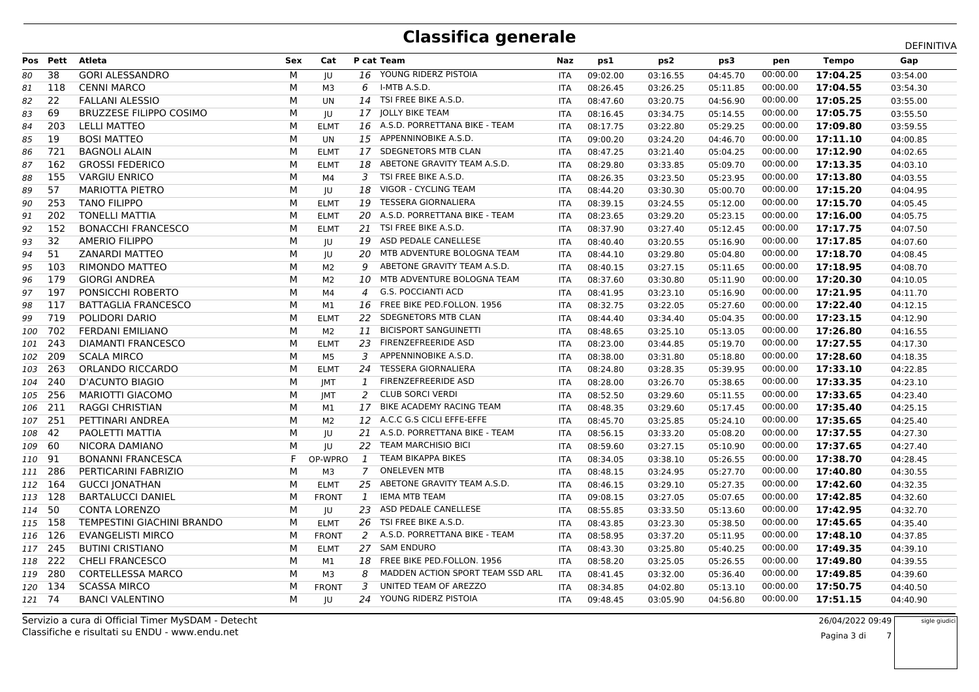|        |          |                                |            |              |                |                                  |            |          |          |          |          |              | DEFINITIVA |
|--------|----------|--------------------------------|------------|--------------|----------------|----------------------------------|------------|----------|----------|----------|----------|--------------|------------|
|        | Pos Pett | Atleta                         | <b>Sex</b> | Cat          |                | P cat Team                       | Naz        | ps1      | ps2      | ps3      | pen      | <b>Tempo</b> | Gap        |
| 80     | 38       | <b>GORI ALESSANDRO</b>         | м          | IU           | 16             | YOUNG RIDERZ PISTOIA             | <b>ITA</b> | 09:02.00 | 03:16.55 | 04:45.70 | 00:00.00 | 17:04.25     | 03:54.00   |
| 81     | 118      | <b>CENNI MARCO</b>             | М          | ΜЗ           | 6              | I-MTB A.S.D.                     | <b>ITA</b> | 08:26.45 | 03:26.25 | 05:11.85 | 00:00.00 | 17:04.55     | 03:54.30   |
| 82     | 22       | <b>FALLANI ALESSIO</b>         | M          | <b>UN</b>    | 14             | TSI FREE BIKE A.S.D.             | <b>ITA</b> | 08:47.60 | 03:20.75 | 04:56.90 | 00:00.00 | 17:05.25     | 03:55.00   |
| 83     | 69       | <b>BRUZZESE FILIPPO COSIMO</b> | М          | IU           | 17             | <b>JOLLY BIKE TEAM</b>           | <b>ITA</b> | 08:16.45 | 03:34.75 | 05:14.55 | 00:00.00 | 17:05.75     | 03:55.50   |
| 84     | 203      | <b>LELLI MATTEO</b>            | М          | <b>ELMT</b>  |                | 16 A.S.D. PORRETTANA BIKE - TEAM | <b>ITA</b> | 08:17.75 | 03:22.80 | 05:29.25 | 00:00.00 | 17:09.80     | 03:59.55   |
| 85     | 19       | BOSI MATTEO                    | M          | UN           | 15             | APPENNINOBIKE A.S.D.             | ITA        | 09:00.20 | 03:24.20 | 04:46.70 | 00:00.00 | 17:11.10     | 04:00.85   |
| 86     | 721      | <b>BAGNOLI ALAIN</b>           | м          | <b>ELMT</b>  |                | 17 SDEGNETORS MTB CLAN           | <b>ITA</b> | 08:47.25 | 03:21.40 | 05:04.25 | 00:00.00 | 17:12.90     | 04:02.65   |
| 87     | 162      | <b>GROSSI FEDERICO</b>         | М          | <b>ELMT</b>  | 18             | ABETONE GRAVITY TEAM A.S.D.      | <b>ITA</b> | 08:29.80 | 03:33.85 | 05:09.70 | 00:00.00 | 17:13.35     | 04:03.10   |
| 88     | 155      | <b>VARGIU ENRICO</b>           | м          | M4           | 3              | TSI FREE BIKE A.S.D.             | <b>ITA</b> | 08:26.35 | 03:23.50 | 05:23.95 | 00:00.00 | 17:13.80     | 04:03.55   |
| 89     | 57       | <b>MARIOTTA PIETRO</b>         | м          | IU           | 18             | VIGOR - CYCLING TEAM             | <b>ITA</b> | 08:44.20 | 03:30.30 | 05:00.70 | 00:00.00 | 17:15.20     | 04:04.95   |
| 90     | 253      | <b>TANO FILIPPO</b>            | М          | <b>ELMT</b>  | 19             | <b>TESSERA GIORNALIERA</b>       | <b>ITA</b> | 08:39.15 | 03:24.55 | 05:12.00 | 00:00.00 | 17:15.70     | 04:05.45   |
| 91     | 202      | <b>TONELLI MATTIA</b>          | М          | <b>ELMT</b>  | 20             | A.S.D. PORRETTANA BIKE - TEAM    | <b>ITA</b> | 08:23.65 | 03:29.20 | 05:23.15 | 00:00.00 | 17:16.00     | 04:05.75   |
| 92     | 152      | <b>BONACCHI FRANCESCO</b>      | М          | <b>ELMT</b>  |                | 21 TSI FREE BIKE A.S.D.          | <b>ITA</b> | 08:37.90 | 03:27.40 | 05:12.45 | 00:00.00 | 17:17.75     | 04:07.50   |
| 93     | 32       | <b>AMERIO FILIPPO</b>          | М          | JU           | 19             | ASD PEDALE CANELLESE             | ITA        | 08:40.40 | 03:20.55 | 05:16.90 | 00:00.00 | 17:17.85     | 04:07.60   |
| 94     | 51       | <b>ZANARDI MATTEO</b>          | м          | JU           | 20             | MTB ADVENTURE BOLOGNA TEAM       | <b>ITA</b> | 08:44.10 | 03:29.80 | 05:04.80 | 00:00.00 | 17:18.70     | 04:08.45   |
| 95     | 103      | RIMONDO MATTEO                 | М          | M2           | 9              | ABETONE GRAVITY TEAM A.S.D.      | <b>ITA</b> | 08:40.15 | 03:27.15 | 05:11.65 | 00:00.00 | 17:18.95     | 04:08.70   |
| 96     | 179      | <b>GIORGI ANDREA</b>           | M          | M2           | 10             | MTB ADVENTURE BOLOGNA TEAM       | ITA        | 08:37.60 | 03:30.80 | 05:11.90 | 00:00.00 | 17:20.30     | 04:10.05   |
| 97     | 197      | PONSICCHI ROBERTO              | М          | M4           | 4              | <b>G.S. POCCIANTI ACD</b>        | <b>ITA</b> | 08:41.95 | 03:23.10 | 05:16.90 | 00:00.00 | 17:21.95     | 04:11.70   |
| 98     | 117      | <b>BATTAGLIA FRANCESCO</b>     | м          | M1           | 16             | FREE BIKE PED.FOLLON. 1956       | <b>ITA</b> | 08:32.75 | 03:22.05 | 05:27.60 | 00:00.00 | 17:22.40     | 04:12.15   |
| 99     | 719      | POLIDORI DARIO                 | М          | <b>ELMT</b>  | 22             | SDEGNETORS MTB CLAN              | <b>ITA</b> | 08:44.40 | 03:34.40 | 05:04.35 | 00:00.00 | 17:23.15     | 04:12.90   |
| 100    | 702      | <b>FERDANI EMILIANO</b>        | М          | M2           | 11             | <b>BICISPORT SANGUINETTI</b>     | <b>ITA</b> | 08:48.65 | 03:25.10 | 05:13.05 | 00:00.00 | 17:26.80     | 04:16.55   |
| 101    | 243      | <b>DIAMANTI FRANCESCO</b>      | М          | <b>ELMT</b>  | 23             | <b>FIRENZEFREERIDE ASD</b>       | <b>ITA</b> | 08:23.00 | 03:44.85 | 05:19.70 | 00:00.00 | 17:27.55     | 04:17.30   |
| 102    | 209      | <b>SCALA MIRCO</b>             | М          | M5           | 3              | APPENNINOBIKE A.S.D.             | <b>ITA</b> | 08:38.00 | 03:31.80 | 05:18.80 | 00:00.00 | 17:28.60     | 04:18.35   |
| 103    | 263      | ORLANDO RICCARDO               | М          | <b>ELMT</b>  | 24             | <b>TESSERA GIORNALIERA</b>       | <b>ITA</b> | 08:24.80 | 03:28.35 | 05:39.95 | 00:00.00 | 17:33.10     | 04:22.85   |
| 104    | 240      | D'ACUNTO BIAGIO                | м          | <b>IMT</b>   | 1              | <b>FIRENZEFREERIDE ASD</b>       | <b>ITA</b> | 08:28.00 | 03:26.70 | 05:38.65 | 00:00.00 | 17:33.35     | 04:23.10   |
| 105    | 256      | MARIOTTI GIACOMO               | М          | <b>IMT</b>   | 2              | <b>CLUB SORCI VERDI</b>          | <b>ITA</b> | 08:52.50 | 03:29.60 | 05:11.55 | 00:00.00 | 17:33.65     | 04:23.40   |
| 106    | -211     | <b>RAGGI CHRISTIAN</b>         | М          | M1           | 17             | BIKE ACADEMY RACING TEAM         | <b>ITA</b> | 08:48.35 | 03:29.60 | 05:17.45 | 00:00.00 | 17:35.40     | 04:25.15   |
| 107    | 251      | PETTINARI ANDREA               | М          | M2           | 12             | A.C.C G.S CICLI EFFE-EFFE        | <b>ITA</b> | 08:45.70 | 03:25.85 | 05:24.10 | 00:00.00 | 17:35.65     | 04:25.40   |
| 108    | -42      | PAOLETTI MATTIA                | М          | IU           |                | 21 A.S.D. PORRETTANA BIKE - TEAM | <b>ITA</b> | 08:56.15 | 03:33.20 | 05:08.20 | 00:00.00 | 17:37.55     | 04:27.30   |
| 109    | -60      | NICORA DAMIANO                 | М          | JU           | 22             | <b>TEAM MARCHISIO BICI</b>       | ITA        | 08:59.60 | 03:27.15 | 05:10.90 | 00:00.00 | 17:37.65     | 04:27.40   |
| 110    | -91      | <b>BONANNI FRANCESCA</b>       | F.         | OP-WPRO      | 1              | <b>TEAM BIKAPPA BIKES</b>        | <b>ITA</b> | 08:34.05 | 03:38.10 | 05:26.55 | 00:00.00 | 17:38.70     | 04:28.45   |
|        | 111 286  | PERTICARINI FABRIZIO           | М          | M3           | $\overline{7}$ | <b>ONELEVEN MTB</b>              | <b>ITA</b> | 08:48.15 | 03:24.95 | 05:27.70 | 00:00.00 | 17:40.80     | 04:30.55   |
|        | 112 164  | <b>GUCCI JONATHAN</b>          | м          | <b>ELMT</b>  | 25             | ABETONE GRAVITY TEAM A.S.D.      | ITA        | 08:46.15 | 03:29.10 | 05:27.35 | 00:00.00 | 17:42.60     | 04:32.35   |
|        | 113 128  | <b>BARTALUCCI DANIEL</b>       | М          | <b>FRONT</b> | $\mathbf{1}$   | <b>IEMA MTB TEAM</b>             | <b>ITA</b> | 09:08.15 | 03:27.05 | 05:07.65 | 00:00.00 | 17:42.85     | 04:32.60   |
| 114 50 |          | <b>CONTA LORENZO</b>           | М          | JU           |                | 23 ASD PEDALE CANELLESE          | <b>ITA</b> | 08:55.85 | 03:33.50 | 05:13.60 | 00:00.00 | 17:42.95     | 04:32.70   |
|        | 115 158  | TEMPESTINI GIACHINI BRANDO     | м          | <b>ELMT</b>  | 26             | TSI FREE BIKE A.S.D.             | <b>ITA</b> | 08:43.85 | 03:23.30 | 05:38.50 | 00:00.00 | 17:45.65     | 04:35.40   |
|        | 116 126  | <b>EVANGELISTI MIRCO</b>       | М          | <b>FRONT</b> | 2              | A.S.D. PORRETTANA BIKE - TEAM    | <b>ITA</b> | 08:58.95 | 03:37.20 | 05:11.95 | 00:00.00 | 17:48.10     | 04:37.85   |
|        | 117 245  | <b>BUTINI CRISTIANO</b>        | М          | <b>ELMT</b>  |                | 27 SAM ENDURO                    | ITA        | 08:43.30 | 03:25.80 | 05:40.25 | 00:00.00 | 17:49.35     | 04:39.10   |
|        | 118 222  | <b>CHELI FRANCESCO</b>         | м          | M1           | 18             | FREE BIKE PED.FOLLON. 1956       | <b>ITA</b> | 08:58.20 | 03:25.05 | 05:26.55 | 00:00.00 | 17:49.80     | 04:39.55   |
|        | 119 280  | <b>CORTELLESSA MARCO</b>       | М          | ΜЗ           | 8              | MADDEN ACTION SPORT TEAM SSD ARL | <b>ITA</b> | 08:41.45 | 03:32.00 | 05:36.40 | 00:00.00 | 17:49.85     | 04:39.60   |
|        | 120 134  | <b>SCASSA MIRCO</b>            | М          | <b>FRONT</b> | 3              | UNITED TEAM OF AREZZO            | <b>ITA</b> | 08:34.85 | 04:02.80 | 05:13.10 | 00:00.00 | 17:50.75     | 04:40.50   |
| 121 74 |          | <b>BANCI VALENTINO</b>         | М          | JU           | 24             | YOUNG RIDERZ PISTOIA             | <b>ITA</b> | 09:48.45 | 03:05.90 | 04:56.80 | 00:00.00 | 17:51.15     | 04:40.90   |
|        |          |                                |            |              |                |                                  |            |          |          |          |          |              |            |

Classifiche e risultati su ENDU - www.endu.netServizio a cura di Official Timer MySDAM - Detecht

26/04/2022 09:49

i 7 Pagina 3 di

sigle giudici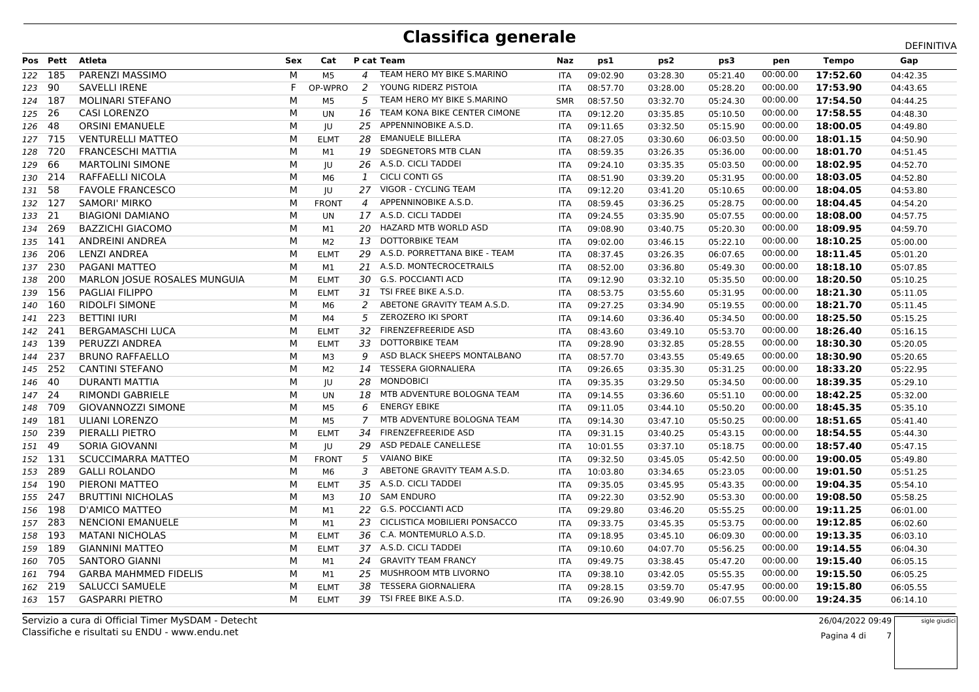|         |          |                              |     |                |                |                               |            |          |          |          |          |              | DEFINITIVA |
|---------|----------|------------------------------|-----|----------------|----------------|-------------------------------|------------|----------|----------|----------|----------|--------------|------------|
|         | Pos Pett | Atleta                       | Sex | Cat            |                | P cat Team                    | Naz        | ps1      | ps2      | ps3      | pen      | <b>Tempo</b> | Gap        |
|         | 122 185  | PARENZI MASSIMO              | М   | M <sub>5</sub> | $\overline{A}$ | TEAM HERO MY BIKE S.MARINO    | <b>ITA</b> | 09:02.90 | 03:28.30 | 05:21.40 | 00:00.00 | 17:52.60     | 04:42.35   |
| 123 90  |          | <b>SAVELLI IRENE</b>         | F   | OP-WPRO        | 2              | YOUNG RIDERZ PISTOIA          | <b>ITA</b> | 08:57.70 | 03:28.00 | 05:28.20 | 00:00.00 | 17:53.90     | 04:43.65   |
| 124 187 |          | <b>MOLINARI STEFANO</b>      | М   | M <sub>5</sub> | 5              | TEAM HERO MY BIKE S.MARINO    | <b>SMR</b> | 08:57.50 | 03:32.70 | 05:24.30 | 00:00.00 | 17:54.50     | 04:44.25   |
| 125     | - 26     | <b>CASI LORENZO</b>          | M   | <b>UN</b>      | 16             | TEAM KONA BIKE CENTER CIMONE  | <b>ITA</b> | 09:12.20 | 03:35.85 | 05:10.50 | 00:00.00 | 17:58.55     | 04:48.30   |
| 126     | 48       | <b>ORSINI EMANUELE</b>       | М   | JU             | 25             | APPENNINOBIKE A.S.D.          | ITA        | 09:11.65 | 03:32.50 | 05:15.90 | 00:00.00 | 18:00.05     | 04:49.80   |
|         | 127 715  | <b>VENTURELLI MATTEO</b>     | М   | <b>ELMT</b>    | 28             | <b>EMANUELE BILLERA</b>       | ITA        | 08:27.05 | 03:30.60 | 06:03.50 | 00:00.00 | 18:01.15     | 04:50.90   |
| 128     | - 720    | <b>FRANCESCHI MATTIA</b>     | M   | M1             | 19             | SDEGNETORS MTB CLAN           | <b>ITA</b> | 08:59.35 | 03:26.35 | 05:36.00 | 00:00.00 | 18:01.70     | 04:51.45   |
| 129     | 66       | <b>MARTOLINI SIMONE</b>      | М   | JU             | 26             | A.S.D. CICLI TADDEI           | <b>ITA</b> | 09:24.10 | 03:35.35 | 05:03.50 | 00:00.00 | 18:02.95     | 04:52.70   |
|         | 130 214  | RAFFAELLI NICOLA             | М   | M6             | 1              | <b>CICLI CONTI GS</b>         | <b>ITA</b> | 08:51.90 | 03:39.20 | 05:31.95 | 00:00.00 | 18:03.05     | 04:52.80   |
| 131 58  |          | <b>FAVOLE FRANCESCO</b>      | M   | IU             | 27             | VIGOR - CYCLING TEAM          | <b>ITA</b> | 09:12.20 | 03:41.20 | 05:10.65 | 00:00.00 | 18:04.05     | 04:53.80   |
| 132 127 |          | <b>SAMORI' MIRKO</b>         | М   | <b>FRONT</b>   | $\overline{a}$ | APPENNINOBIKE A.S.D.          | <b>ITA</b> | 08:59.45 | 03:36.25 | 05:28.75 | 00:00.00 | 18:04.45     | 04:54.20   |
| 133 21  |          | <b>BIAGIONI DAMIANO</b>      | M   | UN             |                | 17 A.S.D. CICLI TADDEI        | <b>ITA</b> | 09:24.55 | 03:35.90 | 05:07.55 | 00:00.00 | 18:08.00     | 04:57.75   |
|         | 134 269  | <b>BAZZICHI GIACOMO</b>      | М   | M1             | 20             | HAZARD MTB WORLD ASD          | <b>ITA</b> | 09:08.90 | 03:40.75 | 05:20.30 | 00:00.00 | 18:09.95     | 04:59.70   |
|         | 135 141  | ANDREINI ANDREA              | М   | M <sub>2</sub> | 13             | <b>DOTTORBIKE TEAM</b>        | <b>ITA</b> | 09:02.00 | 03:46.15 | 05:22.10 | 00:00.00 | 18:10.25     | 05:00.00   |
| 136     | - 206    | <b>LENZI ANDREA</b>          | М   | <b>ELMT</b>    | 29             | A.S.D. PORRETTANA BIKE - TEAM | <b>ITA</b> | 08:37.45 | 03:26.35 | 06:07.65 | 00:00.00 | 18:11.45     | 05:01.20   |
|         | 137 230  | <b>PAGANI MATTEO</b>         | M   | M1             |                | 21 A.S.D. MONTECROCETRAILS    | <b>ITA</b> | 08:52.00 | 03:36.80 | 05:49.30 | 00:00.00 | 18:18.10     | 05:07.85   |
|         | 138 200  | MARLON JOSUE ROSALES MUNGUIA | М   | <b>ELMT</b>    | 30             | <b>G.S. POCCIANTI ACD</b>     | ITA        | 09:12.90 | 03:32.10 | 05:35.50 | 00:00.00 | 18:20.50     | 05:10.25   |
| 139     | -156     | PAGLIAI FILIPPO              | М   | <b>ELMT</b>    | 31             | TSI FREE BIKE A.S.D.          | ITA        | 08:53.75 | 03:55.60 | 05:31.95 | 00:00.00 | 18:21.30     | 05:11.05   |
| 140     | 160      | <b>RIDOLFI SIMONE</b>        | M   | M6             | 2              | ABETONE GRAVITY TEAM A.S.D.   | <b>ITA</b> | 09:27.25 | 03:34.90 | 05:19.55 | 00:00.00 | 18:21.70     | 05:11.45   |
| 141 223 |          | <b>BETTINI IURI</b>          | М   | M4             | 5              | ZEROZERO IKI SPORT            | <b>ITA</b> | 09:14.60 | 03:36.40 | 05:34.50 | 00:00.00 | 18:25.50     | 05:15.25   |
| 142     | -241     | <b>BERGAMASCHI LUCA</b>      | M   | <b>ELMT</b>    | 32             | <b>FIRENZEFREERIDE ASD</b>    | <b>ITA</b> | 08:43.60 | 03:49.10 | 05:53.70 | 00:00.00 | 18:26.40     | 05:16.15   |
| 143     | 139      | PERUZZI ANDREA               | M   | <b>ELMT</b>    | 33             | <b>DOTTORBIKE TEAM</b>        | <b>ITA</b> | 09:28.90 | 03:32.85 | 05:28.55 | 00:00.00 | 18:30.30     | 05:20.05   |
| 144     | 237      | <b>BRUNO RAFFAELLO</b>       | M   | M <sub>3</sub> | 9              | ASD BLACK SHEEPS MONTALBANO   | <b>ITA</b> | 08:57.70 | 03:43.55 | 05:49.65 | 00:00.00 | 18:30.90     | 05:20.65   |
| 145     | 252      | <b>CANTINI STEFANO</b>       | М   | M <sub>2</sub> | 14             | <b>TESSERA GIORNALIERA</b>    | <b>ITA</b> | 09:26.65 | 03:35.30 | 05:31.25 | 00:00.00 | 18:33.20     | 05:22.95   |
| 146     | -40      | DURANTI MATTIA               | M   | IU             | 28             | <b>MONDOBICI</b>              | <b>ITA</b> | 09:35.35 | 03:29.50 | 05:34.50 | 00:00.00 | 18:39.35     | 05:29.10   |
| 147 24  |          | RIMONDI GABRIELE             | M   | UN             | 18             | MTB ADVENTURE BOLOGNA TEAM    | <b>ITA</b> | 09:14.55 | 03:36.60 | 05:51.10 | 00:00.00 | 18:42.25     | 05:32.00   |
| 148     | 709      | <b>GIOVANNOZZI SIMONE</b>    | М   | M5             | 6              | <b>ENERGY EBIKE</b>           | <b>ITA</b> | 09:11.05 | 03:44.10 | 05:50.20 | 00:00.00 | 18:45.35     | 05:35.10   |
| 149     | 181      | ULIANI LORENZO               | M   | M <sub>5</sub> | $\overline{7}$ | MTB ADVENTURE BOLOGNA TEAM    | <b>ITA</b> | 09:14.30 | 03:47.10 | 05:50.25 | 00:00.00 | 18:51.65     | 05:41.40   |
| 150     | 239      | PIERALLI PIETRO              | М   | <b>ELMT</b>    | 34             | <b>FIRENZEFREERIDE ASD</b>    | <b>ITA</b> | 09:31.15 | 03:40.25 | 05:43.15 | 00:00.00 | 18:54.55     | 05:44.30   |
| 151     | -49      | SORIA GIOVANNI               | М   | JU             | 29             | ASD PEDALE CANELLESE          | <b>ITA</b> | 10:01.55 | 03:37.10 | 05:18.75 | 00:00.00 | 18:57.40     | 05:47.15   |
| 152     | 131      | SCUCCIMARRA MATTEO           | м   | <b>FRONT</b>   | 5              | <b>VAIANO BIKE</b>            | <b>ITA</b> | 09:32.50 | 03:45.05 | 05:42.50 | 00:00.00 | 19:00.05     | 05:49.80   |
| 153     | - 289    | <b>GALLI ROLANDO</b>         | М   | M6             | 3              | ABETONE GRAVITY TEAM A.S.D.   | <b>ITA</b> | 10:03.80 | 03:34.65 | 05:23.05 | 00:00.00 | 19:01.50     | 05:51.25   |
|         | 154 190  | PIERONI MATTEO               | М   | <b>ELMT</b>    | 35             | A.S.D. CICLI TADDEI           | <b>ITA</b> | 09:35.05 | 03:45.95 | 05:43.35 | 00:00.00 | 19:04.35     | 05:54.10   |
| 155     | - 247    | <b>BRUTTINI NICHOLAS</b>     | М   | M3             | 10             | <b>SAM ENDURO</b>             | <b>ITA</b> | 09:22.30 | 03:52.90 | 05:53.30 | 00:00.00 | 19:08.50     | 05:58.25   |
| 156     | 198      | D'AMICO MATTEO               | M   | M1             | 22             | <b>G.S. POCCIANTI ACD</b>     | <b>ITA</b> | 09:29.80 | 03:46.20 | 05:55.25 | 00:00.00 | 19:11.25     | 06:01.00   |
|         | 157 283  | <b>NENCIONI EMANUELE</b>     | M   | M1             | 23             | CICLISTICA MOBILIERI PONSACCO | <b>ITA</b> | 09:33.75 | 03:45.35 | 05:53.75 | 00:00.00 | 19:12.85     | 06:02.60   |
| 158     | 193      | <b>MATANI NICHOLAS</b>       | М   | <b>ELMT</b>    | 36             | C.A. MONTEMURLO A.S.D.        | <b>ITA</b> | 09:18.95 | 03:45.10 | 06:09.30 | 00:00.00 | 19:13.35     | 06:03.10   |
| 159     | 189      | <b>GIANNINI MATTEO</b>       | М   | <b>ELMT</b>    |                | 37 A.S.D. CICLI TADDEI        | ITA        | 09:10.60 | 04:07.70 | 05:56.25 | 00:00.00 | 19:14.55     | 06:04.30   |
| 160     | -705     | <b>SANTORO GIANNI</b>        | M   | M1             | 24             | <b>GRAVITY TEAM FRANCY</b>    | <b>ITA</b> | 09:49.75 | 03:38.45 | 05:47.20 | 00:00.00 | 19:15.40     | 06:05.15   |
| 161     | 794      | <b>GARBA MAHMMED FIDELIS</b> | M   | M1             | 25             | MUSHROOM MTB LIVORNO          | <b>ITA</b> | 09:38.10 | 03:42.05 | 05:55.35 | 00:00.00 | 19:15.50     | 06:05.25   |
| 162     | 219      | <b>SALUCCI SAMUELE</b>       | М   | <b>ELMT</b>    | 38             | <b>TESSERA GIORNALIERA</b>    | <b>ITA</b> | 09:28.15 | 03:59.70 | 05:47.95 | 00:00.00 | 19:15.80     | 06:05.55   |
|         | 163 157  | <b>GASPARRI PIETRO</b>       | M   | <b>ELMT</b>    | 39             | TSI FREE BIKE A.S.D.          | <b>ITA</b> | 09:26.90 | 03:49.90 | 06:07.55 | 00:00.00 | 19:24.35     | 06:14.10   |
|         |          |                              |     |                |                |                               |            |          |          |          |          |              |            |

Classifiche e risultati su ENDU - www.endu.netServizio a cura di Official Timer MySDAM - Detecht

 26/04/2022 09:49sigle giudici

i 7 Pagina 4 di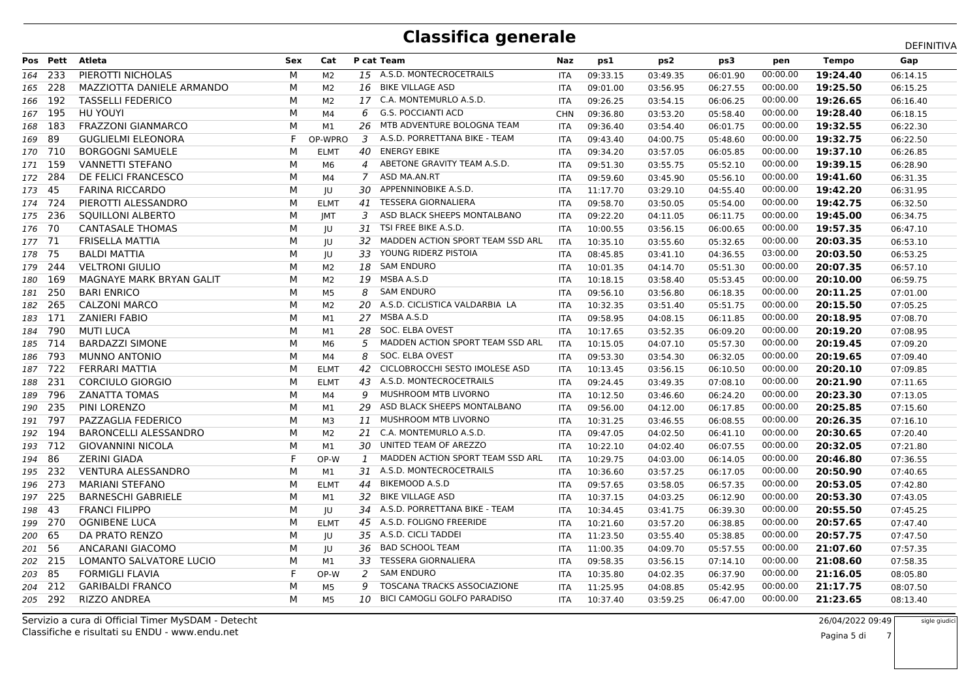|         |          |                           |            |                |                |                                    |            |          |          |          |          |              | DEFINITIVA |
|---------|----------|---------------------------|------------|----------------|----------------|------------------------------------|------------|----------|----------|----------|----------|--------------|------------|
|         | Pos Pett | Atleta                    | <b>Sex</b> | Cat            |                | P cat Team                         | Naz        | ps1      | ps2      | ps3      | pen      | <b>Tempo</b> | Gap        |
| 164     | -233     | PIEROTTI NICHOLAS         | M          | M2             |                | 15 A.S.D. MONTECROCETRAILS         | <b>ITA</b> | 09:33.15 | 03:49.35 | 06:01.90 | 00:00.00 | 19:24.40     | 06:14.15   |
| 165     | 228      | MAZZIOTTA DANIELE ARMANDO | М          | M2             | 16             | <b>BIKE VILLAGE ASD</b>            | ITA        | 09:01.00 | 03:56.95 | 06:27.55 | 00:00.00 | 19:25.50     | 06:15.25   |
| 166     | 192      | <b>TASSELLI FEDERICO</b>  | M          | M2             |                | 17 C.A. MONTEMURLO A.S.D.          | <b>ITA</b> | 09:26.25 | 03:54.15 | 06:06.25 | 00:00.00 | 19:26.65     | 06:16.40   |
| 167 195 |          | HU YOUYI                  | M          | M4             | 6              | <b>G.S. POCCIANTI ACD</b>          | <b>CHN</b> | 09:36.80 | 03:53.20 | 05:58.40 | 00:00.00 | 19:28.40     | 06:18.15   |
| 168     | 183      | <b>FRAZZONI GIANMARCO</b> | М          | M1             | 26             | MTB ADVENTURE BOLOGNA TEAM         | ITA        | 09:36.40 | 03:54.40 | 06:01.75 | 00:00.00 | 19:32.55     | 06:22.30   |
| 169     | 89       | <b>GUGLIELMI ELEONORA</b> | F          | OP-WPRO        | 3              | A.S.D. PORRETTANA BIKE - TEAM      | ITA        | 09:43.40 | 04:00.75 | 05:48.60 | 00:00.00 | 19:32.75     | 06:22.50   |
| 170 710 |          | <b>BORGOGNI SAMUELE</b>   | м          | <b>ELMT</b>    | 40             | <b>ENERGY EBIKE</b>                | <b>ITA</b> | 09:34.20 | 03:57.05 | 06:05.85 | 00:00.00 | 19:37.10     | 06:26.85   |
| 171 159 |          | <b>VANNETTI STEFANO</b>   | М          | M6             | $\overline{a}$ | ABETONE GRAVITY TEAM A.S.D.        | <b>ITA</b> | 09:51.30 | 03:55.75 | 05:52.10 | 00:00.00 | 19:39.15     | 06:28.90   |
| 172 284 |          | DE FELICI FRANCESCO       | M          | M4             | 7              | ASD MA.AN.RT                       | <b>ITA</b> | 09:59.60 | 03:45.90 | 05:56.10 | 00:00.00 | 19:41.60     | 06:31.35   |
| 173 45  |          | <b>FARINA RICCARDO</b>    | M          | IU             | 30.            | APPENNINOBIKE A.S.D.               | <b>ITA</b> | 11:17.70 | 03:29.10 | 04:55.40 | 00:00.00 | 19:42.20     | 06:31.95   |
| 174 724 |          | PIEROTTI ALESSANDRO       | М          | <b>ELMT</b>    | 41             | <b>TESSERA GIORNALIERA</b>         | <b>ITA</b> | 09:58.70 | 03:50.05 | 05:54.00 | 00:00.00 | 19:42.75     | 06:32.50   |
| 175 236 |          | SQUILLONI ALBERTO         | М          | <b>IMT</b>     | 3              | ASD BLACK SHEEPS MONTALBANO        | <b>ITA</b> | 09:22.20 | 04:11.05 | 06:11.75 | 00:00.00 | 19:45.00     | 06:34.75   |
| 176     | - 70     | <b>CANTASALE THOMAS</b>   | M          | IU             | 31             | TSI FREE BIKE A.S.D.               | <b>ITA</b> | 10:00.55 | 03:56.15 | 06:00.65 | 00:00.00 | 19:57.35     | 06:47.10   |
| 177 71  |          | <b>FRISELLA MATTIA</b>    | М          | JU             | 32             | MADDEN ACTION SPORT TEAM SSD ARL   | <b>ITA</b> | 10:35.10 | 03:55.60 | 05:32.65 | 00:00.00 | 20:03.35     | 06:53.10   |
| 178     | -75      | <b>BALDI MATTIA</b>       | м          | JU             | 33             | YOUNG RIDERZ PISTOIA               | <b>ITA</b> | 08:45.85 | 03:41.10 | 04:36.55 | 03:00.00 | 20:03.50     | 06:53.25   |
| 179     | 244      | <b>VELTRONI GIULIO</b>    | M          | M <sub>2</sub> | 18             | SAM ENDURO                         | <b>ITA</b> | 10:01.35 | 04:14.70 | 05:51.30 | 00:00.00 | 20:07.35     | 06:57.10   |
| 180     | 169      | MAGNAYE MARK BRYAN GALIT  | М          | M2             | 19             | MSBA A.S.D                         | <b>ITA</b> | 10:18.15 | 03:58.40 | 05:53.45 | 00:00.00 | 20:10.00     | 06:59.75   |
| 181     | -250     | <b>BARI ENRICO</b>        | M          | M5             | 8              | <b>SAM ENDURO</b>                  | <b>ITA</b> | 09:56.10 | 03:56.80 | 06:18.35 | 00:00.00 | 20:11.25     | 07:01.00   |
| 182     | 265      | <b>CALZONI MARCO</b>      | М          | M <sub>2</sub> |                | 20 A.S.D. CICLISTICA VALDARBIA LA  | <b>ITA</b> | 10:32.35 | 03:51.40 | 05:51.75 | 00:00.00 | 20:15.50     | 07:05.25   |
| 183     | 171      | <b>ZANIERI FABIO</b>      | M          | M1             | 27             | MSBA A.S.D                         | <b>ITA</b> | 09:58.95 | 04:08.15 | 06:11.85 | 00:00.00 | 20:18.95     | 07:08.70   |
| 184     | -790     | <b>MUTI LUCA</b>          | М          | M1             | 28             | SOC. ELBA OVEST                    | <b>ITA</b> | 10:17.65 | 03:52.35 | 06:09.20 | 00:00.00 | 20:19.20     | 07:08.95   |
| 185 714 |          | <b>BARDAZZI SIMONE</b>    | M          | M6             | .5             | MADDEN ACTION SPORT TEAM SSD ARL   | <b>ITA</b> | 10:15.05 | 04:07.10 | 05:57.30 | 00:00.00 | 20:19.45     | 07:09.20   |
| 186     | 793      | <b>MUNNO ANTONIO</b>      | М          | M4             | 8              | SOC. ELBA OVEST                    | <b>ITA</b> | 09:53.30 | 03:54.30 | 06:32.05 | 00:00.00 | 20:19.65     | 07:09.40   |
| 187     | - 722    | FERRARI MATTIA            | М          | <b>ELMT</b>    | 42             | CICLOBROCCHI SESTO IMOLESE ASD     | <b>ITA</b> | 10:13.45 | 03:56.15 | 06:10.50 | 00:00.00 | 20:20.10     | 07:09.85   |
| 188     | -231     | <b>CORCIULO GIORGIO</b>   | M          | <b>ELMT</b>    | 43             | A.S.D. MONTECROCETRAILS            | <b>ITA</b> | 09:24.45 | 03:49.35 | 07:08.10 | 00:00.00 | 20:21.90     | 07:11.65   |
| 189     | 796      | <b>ZANATTA TOMAS</b>      | M          | M4             | 9              | MUSHROOM MTB LIVORNO               | <b>ITA</b> | 10:12.50 | 03:46.60 | 06:24.20 | 00:00.00 | 20:23.30     | 07:13.05   |
| 190 235 |          | PINI LORENZO              | M          | M1             | 29             | ASD BLACK SHEEPS MONTALBANO        | <b>ITA</b> | 09:56.00 | 04:12.00 | 06:17.85 | 00:00.00 | 20:25.85     | 07:15.60   |
| 191     | 797      | PAZZAGLIA FEDERICO        | M          | M <sub>3</sub> | 11             | <b>MUSHROOM MTB LIVORNO</b>        | <b>ITA</b> | 10:31.25 | 03:46.55 | 06:08.55 | 00:00.00 | 20:26.35     | 07:16.10   |
| 192     | 194      | BARONCELLI ALESSANDRO     | M          | M2             |                | 21 C.A. MONTEMURLO A.S.D.          | <b>ITA</b> | 09:47.05 | 04:02.50 | 06:41.10 | 00:00.00 | 20:30.65     | 07:20.40   |
| 193 712 |          | <b>GIOVANNINI NICOLA</b>  | М          | M1             | 30             | UNITED TEAM OF AREZZO              | <b>ITA</b> | 10:22.10 | 04:02.40 | 06:07.55 | 00:00.00 | 20:32.05     | 07:21.80   |
| 194     | 86       | <b>ZERINI GIADA</b>       | F          | OP-W           | $\mathbf{1}$   | MADDEN ACTION SPORT TEAM SSD ARL   | <b>ITA</b> | 10:29.75 | 04:03.00 | 06:14.05 | 00:00.00 | 20:46.80     | 07:36.55   |
| 195     | 232      | <b>VENTURA ALESSANDRO</b> | М          | M1             |                | 31 A.S.D. MONTECROCETRAILS         | <b>ITA</b> | 10:36.60 | 03:57.25 | 06:17.05 | 00:00.00 | 20:50.90     | 07:40.65   |
| 196 273 |          | <b>MARIANI STEFANO</b>    | M          | <b>ELMT</b>    | 44             | <b>BIKEMOOD A.S.D</b>              | <b>ITA</b> | 09:57.65 | 03:58.05 | 06:57.35 | 00:00.00 | 20:53.05     | 07:42.80   |
| 197     | -225     | <b>BARNESCHI GABRIELE</b> | M          | M1             | 32             | <b>BIKE VILLAGE ASD</b>            | <b>ITA</b> | 10:37.15 | 04:03.25 | 06:12.90 | 00:00.00 | 20:53.30     | 07:43.05   |
| 198     | 43       | <b>FRANCI FILIPPO</b>     | М          | JU             |                | 34 A.S.D. PORRETTANA BIKE - TEAM   | <b>ITA</b> | 10:34.45 | 03:41.75 | 06:39.30 | 00:00.00 | 20:55.50     | 07:45.25   |
| 199     | -270     | <b>OGNIBENE LUCA</b>      | М          | <b>ELMT</b>    | 45             | A.S.D. FOLIGNO FREERIDE            | <b>ITA</b> | 10:21.60 | 03:57.20 | 06:38.85 | 00:00.00 | 20:57.65     | 07:47.40   |
| 200 65  |          | DA PRATO RENZO            | M          | JU             |                | 35 A.S.D. CICLI TADDEI             | <b>ITA</b> | 11:23.50 | 03:55.40 | 05:38.85 | 00:00.00 | 20:57.75     | 07:47.50   |
| 201     | -56      | ANCARANI GIACOMO          | M          | JU             | 36             | <b>BAD SCHOOL TEAM</b>             | <b>ITA</b> | 11:00.35 | 04:09.70 | 05:57.55 | 00:00.00 | 21:07.60     | 07:57.35   |
| 202 215 |          | LOMANTO SALVATORE LUCIO   | м          | M1             | 33             | TESSERA GIORNALIERA                | <b>ITA</b> | 09:58.35 | 03:56.15 | 07:14.10 | 00:00.00 | 21:08.60     | 07:58.35   |
| 203     | -85      | <b>FORMIGLI FLAVIA</b>    | F          | OP-W           | 2              | <b>SAM ENDURO</b>                  | <b>ITA</b> | 10:35.80 | 04:02.35 | 06:37.90 | 00:00.00 | 21:16.05     | 08:05.80   |
| 204     | 212      | <b>GARIBALDI FRANCO</b>   | M          | M5             | q              | TOSCANA TRACKS ASSOCIAZIONE        | <b>ITA</b> | 11:25.95 | 04:08.85 | 05:42.95 | 00:00.00 | 21:17.75     | 08:07.50   |
| 205 292 |          | <b>RIZZO ANDREA</b>       | M          | M5             | 10             | <b>BICI CAMOGLI GOLFO PARADISO</b> | <b>ITA</b> | 10:37.40 | 03:59.25 | 06:47.00 | 00:00.00 | 21:23.65     | 08:13.40   |
|         |          |                           |            |                |                |                                    |            |          |          |          |          |              |            |

Classifiche e risultati su ENDU - www.endu.netServizio a cura di Official Timer MySDAM - Detecht

 26/04/2022 09:49sigle giudici

i 7 Pagina 5 di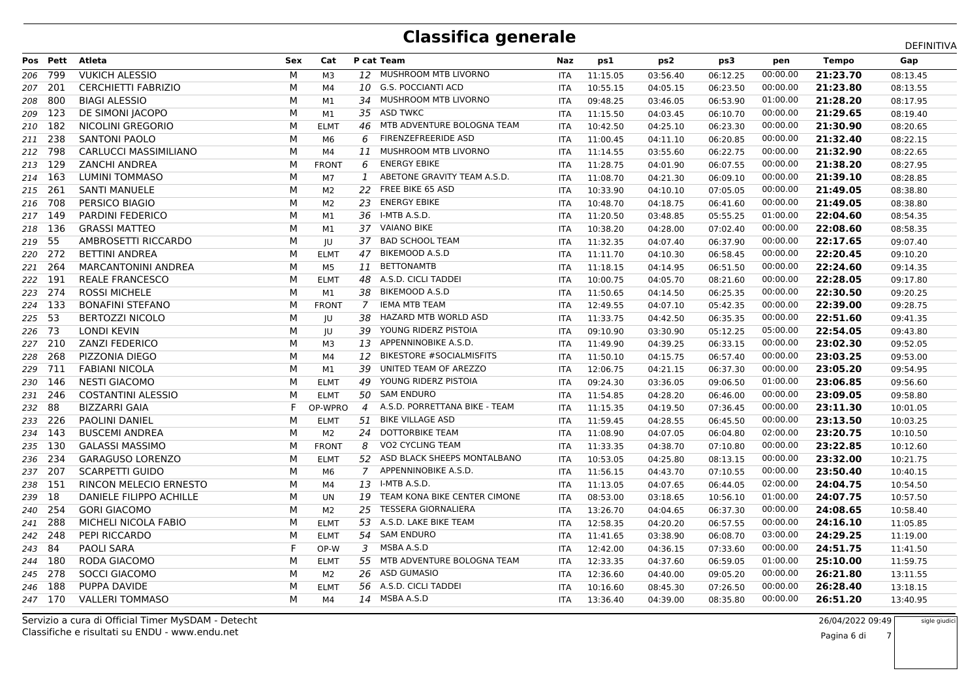|         |          |                                |            |              |                |                                 |            |          |          |          |          |              | DEFINITIVA |
|---------|----------|--------------------------------|------------|--------------|----------------|---------------------------------|------------|----------|----------|----------|----------|--------------|------------|
|         | Pos Pett | Atleta                         | <b>Sex</b> | Cat          |                | P cat Team                      | Naz        | ps1      | ps2      | ps3      | pen      | <b>Tempo</b> | Gap        |
| 206 799 |          | <b>VUKICH ALESSIO</b>          | м          | M3           | 12             | MUSHROOM MTB LIVORNO            | <b>ITA</b> | 11:15.05 | 03:56.40 | 06:12.25 | 00:00.00 | 21:23.70     | 08:13.45   |
| 207     | 201      | <b>CERCHIETTI FABRIZIO</b>     | М          | М4           | 10             | <b>G.S. POCCIANTI ACD</b>       | <b>ITA</b> | 10:55.15 | 04:05.15 | 06:23.50 | 00:00.00 | 21:23.80     | 08:13.55   |
| 208     | 800      | <b>BIAGI ALESSIO</b>           | M          | M1           |                | 34 MUSHROOM MTB LIVORNO         | <b>ITA</b> | 09:48.25 | 03:46.05 | 06:53.90 | 01:00.00 | 21:28.20     | 08:17.95   |
| 209     | -123     | DE SIMONI JACOPO               | М          | M1           | 35             | <b>ASD TWKC</b>                 | <b>ITA</b> | 11:15.50 | 04:03.45 | 06:10.70 | 00:00.00 | 21:29.65     | 08:19.40   |
| 210 182 |          | NICOLINI GREGORIO              | М          | <b>ELMT</b>  | 46             | MTB ADVENTURE BOLOGNA TEAM      | ITA        | 10:42.50 | 04:25.10 | 06:23.30 | 00:00.00 | 21:30.90     | 08:20.65   |
| 211 238 |          | <b>SANTONI PAOLO</b>           | M          | M6           | 6              | FIRENZEFREERIDE ASD             | ITA        | 11:00.45 | 04:11.10 | 06:20.85 | 00:00.00 | 21:32.40     | 08:22.15   |
| 212 798 |          | <b>CARLUCCI MASSIMILIANO</b>   | м          | M4           | <b>11</b>      | MUSHROOM MTB LIVORNO            | <b>ITA</b> | 11:14.55 | 03:55.60 | 06:22.75 | 00:00.00 | 21:32.90     | 08:22.65   |
| 213 129 |          | <b>ZANCHI ANDREA</b>           | М          | <b>FRONT</b> | 6              | <b>ENERGY EBIKE</b>             | ITA        | 11:28.75 | 04:01.90 | 06:07.55 | 00:00.00 | 21:38.20     | 08:27.95   |
| 214 163 |          | LUMINI TOMMASO                 | М          | M7           | 1              | ABETONE GRAVITY TEAM A.S.D.     | <b>ITA</b> | 11:08.70 | 04:21.30 | 06:09.10 | 00:00.00 | 21:39.10     | 08:28.85   |
| 215 261 |          | <b>SANTI MANUELE</b>           | м          | M2           | 22             | FREE BIKE 65 ASD                | <b>ITA</b> | 10:33.90 | 04:10.10 | 07:05.05 | 00:00.00 | 21:49.05     | 08:38.80   |
| 216 708 |          | PERSICO BIAGIO                 | М          | M2           | 23             | <b>ENERGY EBIKE</b>             | <b>ITA</b> | 10:48.70 | 04:18.75 | 06:41.60 | 00:00.00 | 21:49.05     | 08:38.80   |
| 217 149 |          | PARDINI FEDERICO               | М          | M1           | 36             | I-MTB A.S.D.                    | <b>ITA</b> | 11:20.50 | 03:48.85 | 05:55.25 | 01:00.00 | 22:04.60     | 08:54.35   |
| 218 136 |          | <b>GRASSI MATTEO</b>           | М          | M1           | 37             | <b>VAIANO BIKE</b>              | <b>ITA</b> | 10:38.20 | 04:28.00 | 07:02.40 | 00:00.00 | 22:08.60     | 08:58.35   |
| 219 55  |          | AMBROSETTI RICCARDO            | М          | JU           | 37             | <b>BAD SCHOOL TEAM</b>          | <b>ITA</b> | 11:32.35 | 04:07.40 | 06:37.90 | 00:00.00 | 22:17.65     | 09:07.40   |
| 220 272 |          | <b>BETTINI ANDREA</b>          | м          | <b>ELMT</b>  | 47             | <b>BIKEMOOD A.S.D</b>           | <b>ITA</b> | 11:11.70 | 04:10.30 | 06:58.45 | 00:00.00 | 22:20.45     | 09:10.20   |
| 221 264 |          | <b>MARCANTONINI ANDREA</b>     | М          | M5           | 11             | <b>BETTONAMTB</b>               | <b>ITA</b> | 11:18.15 | 04:14.95 | 06:51.50 | 00:00.00 | 22:24.60     | 09:14.35   |
| 222 191 |          | <b>REALE FRANCESCO</b>         | М          | <b>ELMT</b>  | 48             | A.S.D. CICLI TADDEI             | <b>ITA</b> | 10:00.75 | 04:05.70 | 08:21.60 | 00:00.00 | 22:28.05     | 09:17.80   |
| 223 274 |          | <b>ROSSI MICHELE</b>           | М          | M1           | 38             | <b>BIKEMOOD A.S.D</b>           | <b>ITA</b> | 11:50.65 | 04:14.50 | 06:25.35 | 00:00.00 | 22:30.50     | 09:20.25   |
| 224 133 |          | <b>BONAFINI STEFANO</b>        | М          | <b>FRONT</b> | $\overline{7}$ | <b>IEMA MTB TEAM</b>            | <b>ITA</b> | 12:49.55 | 04:07.10 | 05:42.35 | 00:00.00 | 22:39.00     | 09:28.75   |
| 225     | - 53     | <b>BERTOZZI NICOLO</b>         | М          | JU           | 38             | HAZARD MTB WORLD ASD            | <b>ITA</b> | 11:33.75 | 04:42.50 | 06:35.35 | 00:00.00 | 22:51.60     | 09:41.35   |
| 226     | - 73     | <b>LONDI KEVIN</b>             | М          | IU           | 39             | YOUNG RIDERZ PISTOIA            | <b>ITA</b> | 09:10.90 | 03:30.90 | 05:12.25 | 05:00.00 | 22:54.05     | 09:43.80   |
| 227 210 |          | <b>ZANZI FEDERICO</b>          | М          | MЗ           | 13             | APPENNINOBIKE A.S.D.            | <b>ITA</b> | 11:49.90 | 04:39.25 | 06:33.15 | 00:00.00 | 23:02.30     | 09:52.05   |
| 228     | -268     | PIZZONIA DIEGO                 | М          | M4           | 12             | <b>BIKESTORE #SOCIALMISFITS</b> | <b>ITA</b> | 11:50.10 | 04:15.75 | 06:57.40 | 00:00.00 | 23:03.25     | 09:53.00   |
| 229 711 |          | <b>FABIANI NICOLA</b>          | М          | M1           | 39             | UNITED TEAM OF AREZZO           | <b>ITA</b> | 12:06.75 | 04:21.15 | 06:37.30 | 00:00.00 | 23:05.20     | 09:54.95   |
| 230 146 |          | <b>NESTI GIACOMO</b>           | М          | <b>ELMT</b>  | 49             | YOUNG RIDERZ PISTOIA            | <b>ITA</b> | 09:24.30 | 03:36.05 | 09:06.50 | 01:00.00 | 23:06.85     | 09:56.60   |
| 231     | -246     | <b>COSTANTINI ALESSIO</b>      | М          | <b>ELMT</b>  |                | 50 SAM ENDURO                   | <b>ITA</b> | 11:54.85 | 04:28.20 | 06:46.00 | 00:00.00 | 23:09.05     | 09:58.80   |
| 232     | - 88     | <b>BIZZARRI GAIA</b>           | F          | OP-WPRO      | $\overline{4}$ | A.S.D. PORRETTANA BIKE - TEAM   | <b>ITA</b> | 11:15.35 | 04:19.50 | 07:36.45 | 00:00.00 | 23:11.30     | 10:01.05   |
| 233     | -226     | <b>PAOLINI DANIEL</b>          | М          | <b>ELMT</b>  | 51             | <b>BIKE VILLAGE ASD</b>         | <b>ITA</b> | 11:59.45 | 04:28.55 | 06:45.50 | 00:00.00 | 23:13.50     | 10:03.25   |
| 234 143 |          | <b>BUSCEMI ANDREA</b>          | М          | M2           | 24             | <b>DOTTORBIKE TEAM</b>          | <b>ITA</b> | 11:08.90 | 04:07.05 | 06:04.80 | 02:00.00 | 23:20.75     | 10:10.50   |
| 235 130 |          | <b>GALASSI MASSIMO</b>         | М          | <b>FRONT</b> | 8              | <b>VO2 CYCLING TEAM</b>         | ITA        | 11:33.35 | 04:38.70 | 07:10.80 | 00:00.00 | 23:22.85     | 10:12.60   |
| 236     | - 234    | <b>GARAGUSO LORENZO</b>        | м          | <b>ELMT</b>  | 52             | ASD BLACK SHEEPS MONTALBANO     | <b>ITA</b> | 10:53.05 | 04:25.80 | 08:13.15 | 00:00.00 | 23:32.00     | 10:21.75   |
| 237     | - 207    | <b>SCARPETTI GUIDO</b>         | М          | M6           | $\overline{7}$ | APPENNINOBIKE A.S.D.            | <b>ITA</b> | 11:56.15 | 04:43.70 | 07:10.55 | 00:00.00 | 23:50.40     | 10:40.15   |
| 238 151 |          | RINCON MELECIO ERNESTO         | м          | М4           | 13             | I-MTB A.S.D.                    | <b>ITA</b> | 11:13.05 | 04:07.65 | 06:44.05 | 02:00.00 | 24:04.75     | 10:54.50   |
| 239     | -18      | <b>DANIELE FILIPPO ACHILLE</b> | М          | UN.          | 19             | TEAM KONA BIKE CENTER CIMONE    | <b>ITA</b> | 08:53.00 | 03:18.65 | 10:56.10 | 01:00.00 | 24:07.75     | 10:57.50   |
| 240     | 254      | <b>GORI GIACOMO</b>            | М          | M2           | 25             | <b>TESSERA GIORNALIERA</b>      | ITA        | 13:26.70 | 04:04.65 | 06:37.30 | 00:00.00 | 24:08.65     | 10:58.40   |
| 241 288 |          | MICHELI NICOLA FABIO           | М          | <b>ELMT</b>  | 53             | A.S.D. LAKE BIKE TEAM           | <b>ITA</b> | 12:58.35 | 04:20.20 | 06:57.55 | 00:00.00 | 24:16.10     | 11:05.85   |
| 242     | - 248    | PEPI RICCARDO                  | М          | <b>ELMT</b>  | 54             | <b>SAM ENDURO</b>               | <b>ITA</b> | 11:41.65 | 03:38.90 | 06:08.70 | 03:00.00 | 24:29.25     | 11:19.00   |
| 243     | -84      | PAOLI SARA                     | F          | OP-W         | 3              | MSBA A.S.D                      | ITA        | 12:42.00 | 04:36.15 | 07:33.60 | 00:00.00 | 24:51.75     | 11:41.50   |
| 244 180 |          | RODA GIACOMO                   | м          | <b>ELMT</b>  | 55             | MTB ADVENTURE BOLOGNA TEAM      | <b>ITA</b> | 12:33.35 | 04:37.60 | 06:59.05 | 01:00.00 | 25:10.00     | 11:59.75   |
| 245     | - 278    | SOCCI GIACOMO                  | М          | M2           | 26             | ASD GUMASIO                     | <b>ITA</b> | 12:36.60 | 04:40.00 | 09:05.20 | 00:00.00 | 26:21.80     | 13:11.55   |
| 246 188 |          | PUPPA DAVIDE                   | М          | <b>ELMT</b>  | 56             | A.S.D. CICLI TADDEI             | <b>ITA</b> | 10:16.60 | 08:45.30 | 07:26.50 | 00:00.00 | 26:28.40     | 13:18.15   |
| 247 170 |          | <b>VALLERI TOMMASO</b>         | м          | M4           |                | 14 MSBA A.S.D                   | <b>ITA</b> | 13:36.40 | 04:39.00 | 08:35.80 | 00:00.00 | 26:51.20     | 13:40.95   |
|         |          |                                |            |              |                |                                 |            |          |          |          |          |              |            |

Classifiche e risultati su ENDU - www.endu.netServizio a cura di Official Timer MySDAM - Detecht  26/04/2022 09:49 7sigle giudici

Pagina 6 di